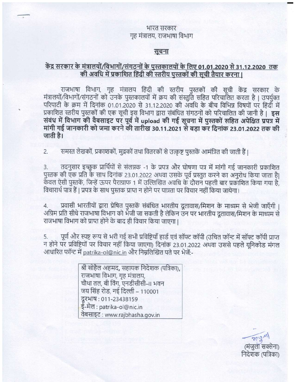### भारत सरकार गृह मंत्रालय, राजभाषा विभाग

### सूचना

# केंद्र सरकार के मंत्रालयों/विभागों/संगठनों के पुस्तकालयों के लिए 01.01.2020 से 31.12.2020 तक की अवधि में प्रकाशित हिंदी की स्तरीय पुस्तकों की सूची तैयार करना।

राजभाषा विभाग, गृह मंत्रालय हिंदी की स्तरीय पुस्तकों की सूची केंद्र सरकार के मंत्रालयों/विभागों/संगठनों को उनके पुस्तकालयों में क्रय की संस्तुति सहित परिचालित करता है | उपर्युक्त परिपाटी के क्रम में दिनांक 01.01.2020 से 31.12.2020 की अवधि के बीच विभिन्न विषयों पर हिंदी में प्रकाशित स्तरीय पुस्तकों की एक सूची इस विभाग द्वारा संबंधित संगठनों को परिचालित की जानी है। इस संबंध में विभाग की वैबसाइट पर पूर्व में upload की गई सूचना में पुस्तकों सहित अपेक्षित प्रपत्र में मांगी गई जानकारी को जमा करने की तारीख 30.11.2021 से बड़ा कर दिनांक 23.01.2022 तक की जाती है।

समस्त लेखकों, प्रकाशकों, मुद्रकों तथा वितरकों से उत्कृष्ट पुस्तकें आमंत्रित की जाती हैं।  $2.$ 

तदनुसार इच्छुक प्रार्थियों से संलग्नक -1 के प्रपत्र और घोषणा पत्र में मांगी गई जानकारी प्रकाशित  $3.$ पुस्तक की एक प्रति के साथ दिनांक 23.01.2022 अथवा उसके पूर्व प्रस्तुत करने का अनुरोध किया जाता है| केवल ऐसी पुस्तकें, जिन्हें ऊपर पैराग्राफ 1 में उल्लिखित अवधि के दौरान पहली बार प्रकाशित किया गया है, विचारार्थ पात्र हैं | प्रपत्र के साथ पुस्तक प्राप्त न होने पर पात्रता पर विचार नहीं किया जायेगा।

प्रवासी भारतीयों द्वारा प्रेषित पुस्तकें संबंधित भारतीय दूतावास/मिशन के माध्यम से भेजी जाएँगी |  $4.$ अग्रिम प्रति सीधे राजभाषा विभाग को भेजी जा सकती है लेकिन उन पर भारतीय दूतावास/मिशन के माध्यम से राजभाषा विभाग को प्राप्त होने के बाद ही विचार किया जाएगा।

पूर्ण और स्पष्ट रूप से भरी गई सभी प्रविष्टियाँ हार्ड एवं सॉफ्ट कॉपी (उचित फॉन्ट में सॉफ्ट कॉपी प्राप्त 5. न होने पर प्रविष्टियों पर विचार नहीं किया जाएगा) दिनांक 23.01.2022 अथवा उससे पहले यूनिकोड मंगल आधारित फॉन्ट में patrika-ol@nic.in और निम्नलिखित पते पर भेजें:-

> श्री सोहैल अहमद, सहायक निदेशक (पत्रिका), राजभाषा विभाग, गृह मंत्रालय, चौथा तल, बी विंग, एनडीसीसी–॥ भवन जय सिंह रोड, नई दिल्ली - 110001 दूरभाष: 011-23438159 ई-मेल : patrika-ol@nic.in वेबसाइट: www.rajbhasha.gov.in

 $\overline{\mathcal{O}}(3)^{M}$ (मंजुला सक्सेना) निदेशक (पत्रिका)